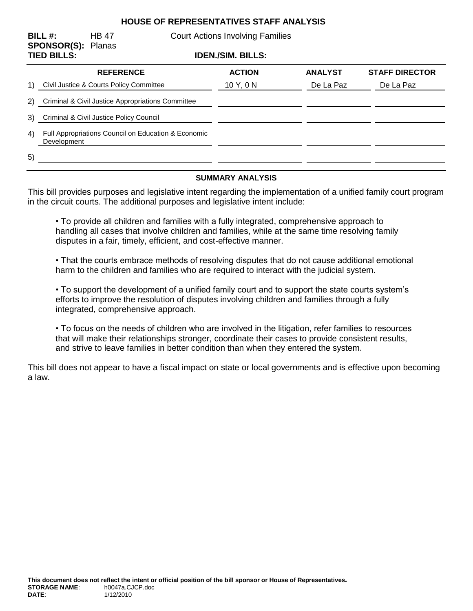## **HOUSE OF REPRESENTATIVES STAFF ANALYSIS**

| BILL#:<br><b>SPONSOR(S): Planas</b><br><b>TIED BILLS:</b> |                                                                    | <b>HB 47</b>     | <b>Court Actions Involving Families</b><br><b>IDEN./SIM. BILLS:</b> |               |                |                       |
|-----------------------------------------------------------|--------------------------------------------------------------------|------------------|---------------------------------------------------------------------|---------------|----------------|-----------------------|
|                                                           |                                                                    |                  |                                                                     |               |                |                       |
|                                                           |                                                                    | <b>REFERENCE</b> |                                                                     | <b>ACTION</b> | <b>ANALYST</b> | <b>STAFF DIRECTOR</b> |
| 1)                                                        | Civil Justice & Courts Policy Committee                            |                  |                                                                     | 10 Y, 0 N     | De La Paz      | De La Paz             |
|                                                           | 2) Criminal & Civil Justice Appropriations Committee               |                  |                                                                     |               |                |                       |
|                                                           | 3) Criminal & Civil Justice Policy Council                         |                  |                                                                     |               |                |                       |
| 4)                                                        | Full Appropriations Council on Education & Economic<br>Development |                  |                                                                     |               |                |                       |
| 5)                                                        |                                                                    |                  |                                                                     |               |                |                       |

#### **SUMMARY ANALYSIS**

This bill provides purposes and legislative intent regarding the implementation of a unified family court program in the circuit courts. The additional purposes and legislative intent include:

• To provide all children and families with a fully integrated, comprehensive approach to handling all cases that involve children and families, while at the same time resolving family disputes in a fair, timely, efficient, and cost-effective manner.

• That the courts embrace methods of resolving disputes that do not cause additional emotional harm to the children and families who are required to interact with the judicial system.

• To support the development of a unified family court and to support the state courts system's efforts to improve the resolution of disputes involving children and families through a fully integrated, comprehensive approach.

• To focus on the needs of children who are involved in the litigation, refer families to resources that will make their relationships stronger, coordinate their cases to provide consistent results, and strive to leave families in better condition than when they entered the system.

This bill does not appear to have a fiscal impact on state or local governments and is effective upon becoming a law.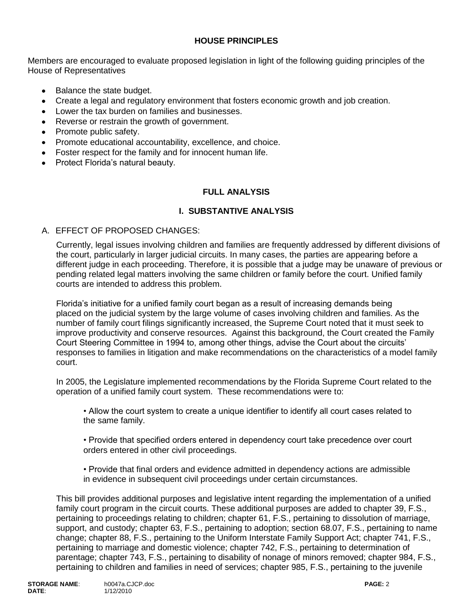## **HOUSE PRINCIPLES**

Members are encouraged to evaluate proposed legislation in light of the following guiding principles of the House of Representatives

- Balance the state budget.
- Create a legal and regulatory environment that fosters economic growth and job creation.  $\bullet$
- Lower the tax burden on families and businesses.
- Reverse or restrain the growth of government.
- Promote public safety.
- Promote educational accountability, excellence, and choice.
- Foster respect for the family and for innocent human life.
- Protect Florida's natural beauty.

## **FULL ANALYSIS**

#### **I. SUBSTANTIVE ANALYSIS**

#### A. EFFECT OF PROPOSED CHANGES:

Currently, legal issues involving children and families are frequently addressed by different divisions of the court, particularly in larger judicial circuits. In many cases, the parties are appearing before a different judge in each proceeding. Therefore, it is possible that a judge may be unaware of previous or pending related legal matters involving the same children or family before the court. Unified family courts are intended to address this problem.

Florida's initiative for a unified family court began as a result of increasing demands being placed on the judicial system by the large volume of cases involving children and families. As the number of family court filings significantly increased, the Supreme Court noted that it must seek to improve productivity and conserve resources. Against this background, the Court created the Family Court Steering Committee in 1994 to, among other things, advise the Court about the circuits' responses to families in litigation and make recommendations on the characteristics of a model family court.

In 2005, the Legislature implemented recommendations by the Florida Supreme Court related to the operation of a unified family court system. These recommendations were to:

• Allow the court system to create a unique identifier to identify all court cases related to the same family.

• Provide that specified orders entered in dependency court take precedence over court orders entered in other civil proceedings.

• Provide that final orders and evidence admitted in dependency actions are admissible in evidence in subsequent civil proceedings under certain circumstances.

This bill provides additional purposes and legislative intent regarding the implementation of a unified family court program in the circuit courts. These additional purposes are added to chapter 39, F.S., pertaining to proceedings relating to children; chapter 61, F.S., pertaining to dissolution of marriage, support, and custody; chapter 63, F.S., pertaining to adoption; section 68.07, F.S., pertaining to name change; chapter 88, F.S., pertaining to the Uniform Interstate Family Support Act; chapter 741, F.S., pertaining to marriage and domestic violence; chapter 742, F.S., pertaining to determination of parentage; chapter 743, F.S., pertaining to disability of nonage of minors removed; chapter 984, F.S., pertaining to children and families in need of services; chapter 985, F.S., pertaining to the juvenile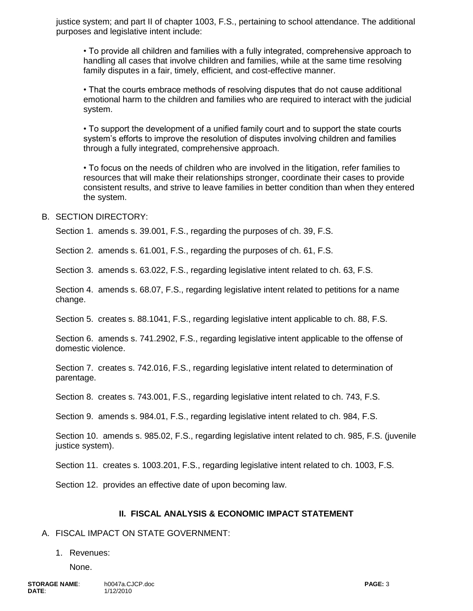justice system; and part II of chapter 1003, F.S., pertaining to school attendance. The additional purposes and legislative intent include:

• To provide all children and families with a fully integrated, comprehensive approach to handling all cases that involve children and families, while at the same time resolving family disputes in a fair, timely, efficient, and cost-effective manner.

• That the courts embrace methods of resolving disputes that do not cause additional emotional harm to the children and families who are required to interact with the judicial system.

• To support the development of a unified family court and to support the state courts system's efforts to improve the resolution of disputes involving children and families through a fully integrated, comprehensive approach.

• To focus on the needs of children who are involved in the litigation, refer families to resources that will make their relationships stronger, coordinate their cases to provide consistent results, and strive to leave families in better condition than when they entered the system.

#### B. SECTION DIRECTORY:

Section 1. amends s. 39.001, F.S., regarding the purposes of ch. 39, F.S.

Section 2. amends s. 61.001, F.S., regarding the purposes of ch. 61, F.S.

Section 3. amends s. 63.022, F.S., regarding legislative intent related to ch. 63, F.S.

Section 4. amends s. 68.07, F.S., regarding legislative intent related to petitions for a name change.

Section 5. creates s. 88.1041, F.S., regarding legislative intent applicable to ch. 88, F.S.

Section 6. amends s. 741.2902, F.S., regarding legislative intent applicable to the offense of domestic violence.

Section 7. creates s. 742.016, F.S., regarding legislative intent related to determination of parentage.

Section 8. creates s. 743.001, F.S., regarding legislative intent related to ch. 743, F.S.

Section 9. amends s. 984.01, F.S., regarding legislative intent related to ch. 984, F.S.

Section 10. amends s. 985.02, F.S., regarding legislative intent related to ch. 985, F.S. (juvenile justice system).

Section 11. creates s. 1003.201, F.S., regarding legislative intent related to ch. 1003, F.S.

Section 12. provides an effective date of upon becoming law.

#### **II. FISCAL ANALYSIS & ECONOMIC IMPACT STATEMENT**

#### A. FISCAL IMPACT ON STATE GOVERNMENT:

#### 1. Revenues:

None.